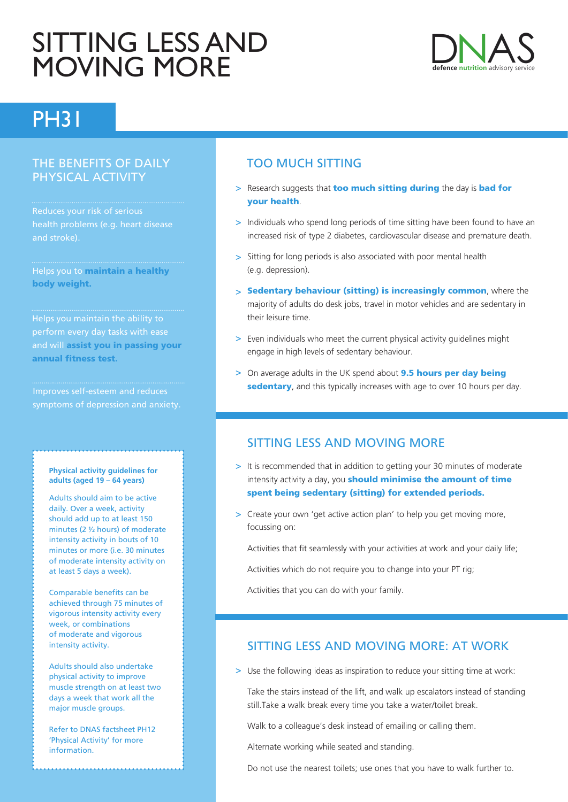# SITTING LESS AND MOVING MORE



## PH31

#### THE BENEFITS OF DAILY PHYSICAL ACTIVITY

Reduces your risk of serious and stroke).

Helps you to maintain a healthy body weight.

Helps you maintain the ability to and will assist you in passing your annual fitness test.

#### **Physical activity guidelines for adults (aged 19 – 64 years)**

Adults should aim to be active daily. Over a week, activity should add up to at least 150 minutes (2 ½ hours) of moderate intensity activity in bouts of 10 minutes or more (i.e. 30 minutes of moderate intensity activity on at least 5 days a week).

Comparable benefits can be achieved through 75 minutes of vigorous intensity activity every week, or combinations of moderate and vigorous intensity activity.

Adults should also undertake physical activity to improve muscle strength on at least two days a week that work all the major muscle groups.

Refer to DNAS factsheet PH12 'Physical Activity' for more information.

### TOO MUCH SITTING

- > Research suggests that too much sitting during the day is bad for your health.
- > Individuals who spend long periods of time sitting have been found to have an increased risk of type 2 diabetes, cardiovascular disease and premature death.
- > Sitting for long periods is also associated with poor mental health (e.g. depression).
- > Sedentary behaviour (sitting) is increasingly common, where the majority of adults do desk jobs, travel in motor vehicles and are sedentary in their leisure time.
- > Even individuals who meet the current physical activity guidelines might engage in high levels of sedentary behaviour.
- > On average adults in the UK spend about **9.5 hours per day being** sedentary, and this typically increases with age to over 10 hours per day.

#### SITTING LESS AND MOVING MORE

- > It is recommended that in addition to getting your 30 minutes of moderate intensity activity a day, you **should minimise the amount of time** spent being sedentary (sitting) for extended periods.
- > Create your own 'get active action plan' to help you get moving more, focussing on:

Activities that fit seamlessly with your activities at work and your daily life;

Activities which do not require you to change into your PT rig:

Activities that you can do with your family.

#### SITTING LESS AND MOVING MORE: AT WORK

> Use the following ideas as inspiration to reduce your sitting time at work:

Take the stairs instead of the lift, and walk up escalators instead of standing still.Take a walk break every time you take a water/toilet break.

Walk to a colleague's desk instead of emailing or calling them.

Alternate working while seated and standing.

Do not use the nearest toilets; use ones that you have to walk further to.